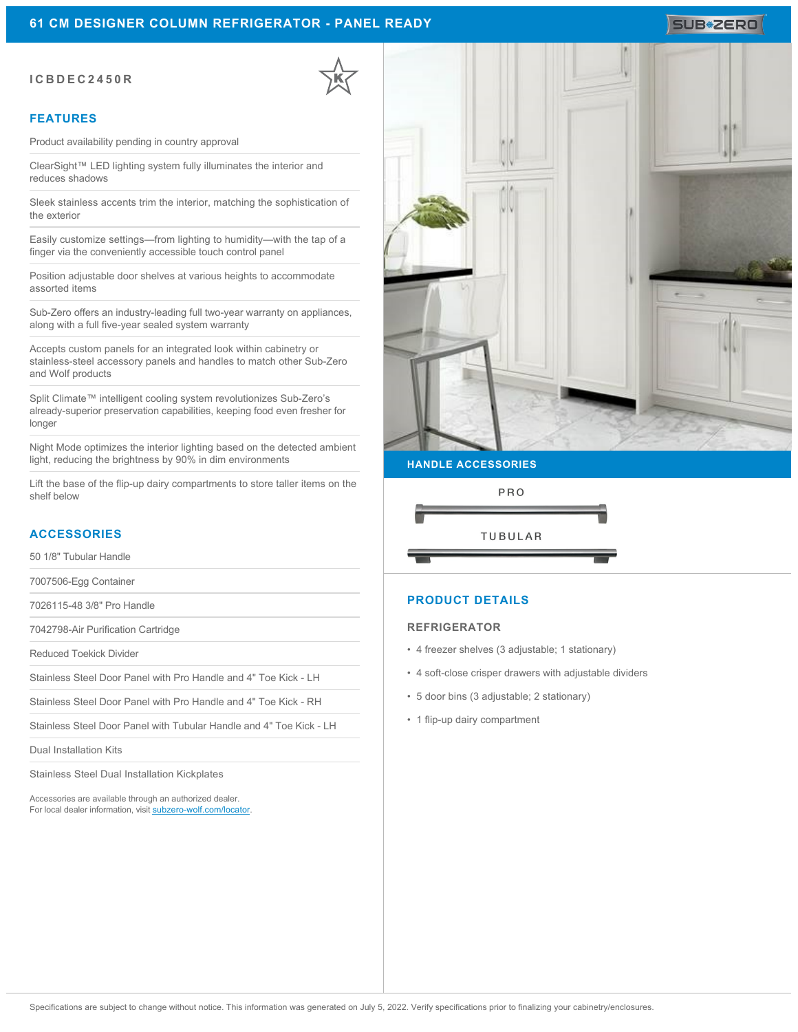### **ICBDEC2450R**

#### **FEATURES**

Product availability pending in country approval

ClearSight™ LED lighting system fully illuminates the interior and reduces shadows

Sleek stainless accents trim the interior, matching the sophistication of the exterior

Easily customize settings—from lighting to humidity—with the tap of a finger via the conveniently accessible touch control panel

Position adjustable door shelves at various heights to accommodate assorted items

Sub-Zero offers an industry-leading full two-year warranty on appliances, along with a full five-year sealed system warranty

Accepts custom panels for an integrated look within cabinetry or stainless-steel accessory panels and handles to match other Sub-Zero and Wolf products

Split Climate™ intelligent cooling system revolutionizes Sub-Zero's already-superior preservation capabilities, keeping food even fresher for longer

Night Mode optimizes the interior lighting based on the detected ambient light, reducing the brightness by 90% in dim environments

Lift the base of the flip-up dairy compartments to store taller items on the shelf below

### **ACCESSORIES**

50 1/8" Tubular Handle

7007506-Egg Container

7026115-48 3/8" Pro Handle

7042798-Air Purification Cartridge

Reduced Toekick Divider

Stainless Steel Door Panel with Pro Handle and 4" Toe Kick - LH

Stainless Steel Door Panel with Pro Handle and 4" Toe Kick - RH

Stainless Steel Door Panel with Tubular Handle and 4" Toe Kick - LH

Dual Installation Kits

Stainless Steel Dual Installation Kickplates

Accessories are available through an authorized dealer. For local dealer information, visit [subzero-wolf.com/locator.](http://www.subzero-wolf.com/locator)



**HANDLE ACCESSORIES**



### **PRODUCT DETAILS**

#### **REFRIGERATOR**

- 4 freezer shelves (3 adjustable; 1 stationary)
- 4 soft-close crisper drawers with adjustable dividers
- 5 door bins (3 adjustable; 2 stationary)
- 1 flip-up dairy compartment

# SUB<sup>\*</sup>ZERO